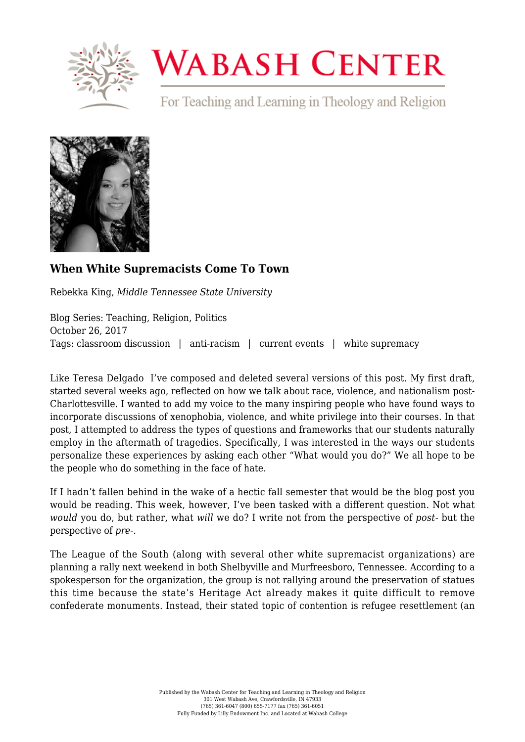

## **WABASH CENTER**

For Teaching and Learning in Theology and Religion



## **[When White Supremacists Come To Town](https://www.wabashcenter.wabash.edu/2017/10/white-supremacists-come-town/)**

Rebekka King, *Middle Tennessee State University*

Blog Series: Teaching, Religion, Politics October 26, 2017 Tags: classroom discussion | anti-racism | current events | white supremacy

Like [Teresa Delgado](https://www.wabashcenter.wabash.edu/2017/08/cornerstones-teaching-social-justice-theological-valueafter-charlottesville/) I've composed and deleted several versions of this post. My first draft, started several weeks ago, reflected on how we talk about race, violence, and nationalism post-Charlottesville. I wanted to add my voice to the many inspiring people who have found ways to incorporate discussions of xenophobia, violence, and white privilege into their courses. In that post, I attempted to address the types of questions and frameworks that our students naturally employ in the aftermath of tragedies. Specifically, I was interested in the ways our students personalize these experiences by asking each other "What would you do?" We all hope to be the people who do something in the face of hate.

If I hadn't fallen behind in the wake of a hectic fall semester that would be the blog post you would be reading. This week, however, I've been tasked with a different question. Not what *would* you do, but rather, what *will* we do? I write not from the perspective of *post*- but the perspective of *pre*-.

The League of the South (along with several other white supremacist organizations) are planning a [rally next weekend](https://www.murfreesboropost.com/news/counter-rally-planned-for-league-of-the-south-march/article_fba5b160-b02b-11e7-973a-4bc3669cb802.html) in both Shelbyville and Murfreesboro, Tennessee. According to a spokesperson for the organization, the group is not rallying around the preservation of statues this time because the state's Heritage Act already makes it quite difficult to remove confederate monuments. Instead, their stated topic of contention is refugee resettlement (an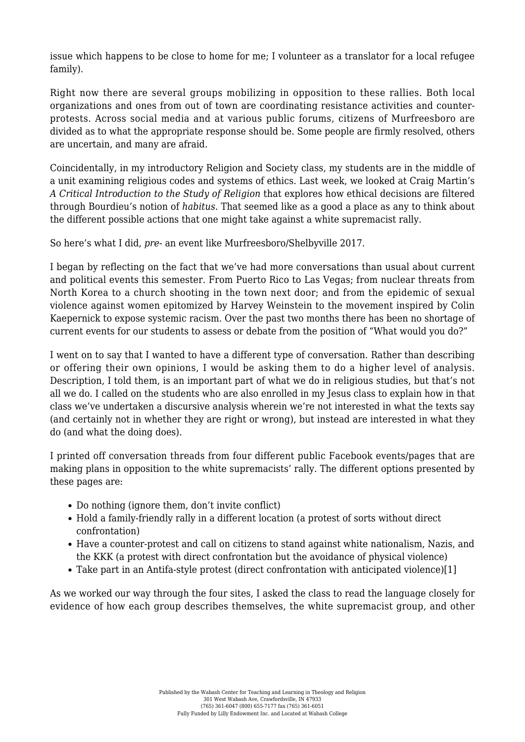issue which happens to be close to home for me; I volunteer as a translator for a local refugee family).

Right now there are several groups mobilizing in opposition to these rallies. Both local organizations and ones from out of town are coordinating resistance activities and counterprotests. Across social media and at various public forums, citizens of Murfreesboro are divided as to what the appropriate response should be. Some people are firmly resolved, others are uncertain, and many are afraid.

Coincidentally, in my introductory Religion and Society class, my students are in the middle of a unit examining religious codes and systems of ethics. Last week, we looked at Craig Martin's *[A Critical Introduction to the Study of Religion](https://www.routledge.com/A-Critical-Introduction-to-the-Study-of-Religion/Martin/p/book/9780415419932)* that explores how ethical decisions are filtered through Bourdieu's notion of *habitus*. That seemed like as a good a place as any to think about the different possible actions that one might take against a white supremacist rally.

So here's what I did, *pre*- an event like Murfreesboro/Shelbyville 2017.

I began by reflecting on the fact that we've had more conversations than usual about current and political events this semester. From Puerto Rico to Las Vegas; from nuclear threats from North Korea to a church shooting in the town next door; and from the epidemic of sexual violence against women epitomized by Harvey Weinstein to the movement inspired by Colin Kaepernick to expose systemic racism. Over the past two months there has been no shortage of current events for our students to assess or debate from the position of "What would you do?"

I went on to say that I wanted to have a different type of conversation. Rather than describing or offering their own opinions, I would be asking them to do a higher level of analysis. Description, I told them, is an important part of what we do in religious studies, but that's not all we do. I called on the students who are also enrolled in my Jesus class to explain how in that class we've undertaken a discursive analysis wherein we're not interested in what the texts say (and certainly not in whether they are right or wrong), but instead are interested in what they do (and what the doing does).

I printed off conversation threads from four different public Facebook events/pages that are making plans in opposition to the white supremacists' rally. The different options presented by these pages are:

- Do nothing (ignore them, don't invite conflict)
- Hold a family-friendly rally in a different location (a protest of sorts without direct confrontation)
- Have a counter-protest and call on citizens to stand against white nationalism, Nazis, and the KKK (a protest with direct confrontation but the avoidance of physical violence)
- Take part in an Antifa-style protest (direct confrontation with anticipated violence)[\[1\]](#page-2-0)

<span id="page-1-0"></span>As we worked our way through the four sites, I asked the class to read the language closely for evidence of how each group describes themselves, the white supremacist group, and other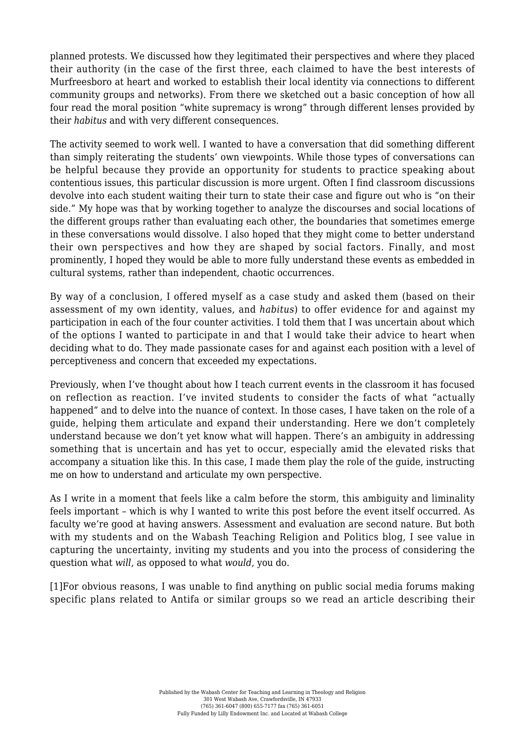planned protests. We discussed how they legitimated their perspectives and where they placed their authority (in the case of the first three, each claimed to have the best interests of Murfreesboro at heart and worked to establish their local identity via connections to different community groups and networks). From there we sketched out a basic conception of how all four read the moral position "white supremacy is wrong" through different lenses provided by their *habitus* and with very different consequences.

The activity seemed to work well. I wanted to have a conversation that did something different than simply reiterating the students' own viewpoints. While those types of conversations can be helpful because they provide an opportunity for [students to practice speaking about](https://www.wabashcenter.wabash.edu/2017/04/teaching-dual-nationalism-a-pedagogy-of-displacement/) [contentious issues](https://www.wabashcenter.wabash.edu/2017/04/teaching-dual-nationalism-a-pedagogy-of-displacement/), this particular discussion is more urgent. Often I find classroom discussions devolve into each student waiting their turn to state their case and figure out who is "on their side." My hope was that by working together to analyze the discourses and social locations of the different groups rather than evaluating each other, the boundaries that sometimes emerge in these conversations would dissolve. I also hoped that they might come to better understand their own perspectives and how they are shaped by social factors. Finally, and most prominently, I hoped they would be able to more fully understand these events as embedded in cultural systems, rather than independent, chaotic occurrences.

By way of a conclusion, I offered myself as a case study and asked them (based on their assessment of my own identity, values, and *habitus*) to offer evidence for and against my participation in each of the four counter activities. I told them that I was uncertain about which of the options I wanted to participate in and that I would take their advice to heart when deciding what to do. They made passionate cases for and against each position with a level of perceptiveness and concern that exceeded my expectations.

Previously, when I've thought about how I teach current events in the classroom it has focused on reflection as reaction. I've invited students to consider the facts of what "actually happened" and to delve into the nuance of context. In those cases, I have taken on the role of a guide, helping them articulate and expand their understanding. Here we don't completely understand because we don't yet know what will happen. There's an ambiguity in addressing something that is uncertain and has yet to occur, especially amid the elevated risks that accompany a situation like this. In this case, I made them play the role of the guide, instructing me on how to understand and articulate my own perspective.

As I write in a moment that feels like a calm before the storm, this ambiguity and liminality feels important – which is why I wanted to write this post before the event itself occurred. As faculty we're good at having answers. Assessment and evaluation are second nature. But both with my students and on the Wabash Teaching Religion and Politics blog, I see value in capturing the uncertainty, inviting my students and you into the process of considering the question what *will*, as opposed to what *would*, you do.

<span id="page-2-0"></span>[\[1\]](#page-1-0)For obvious reasons, I was unable to find anything on public social media forums making specific plans related to Antifa or similar groups so we read an article describing their